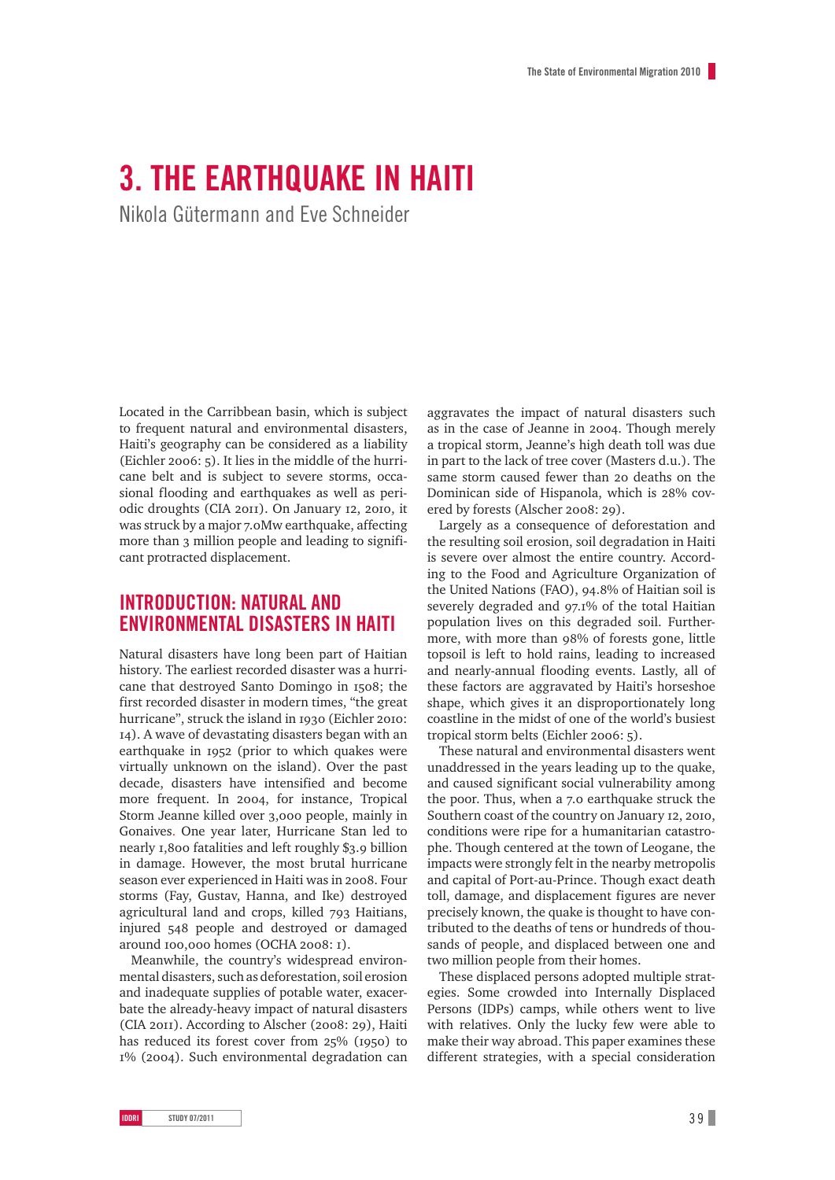# **3. The Earthquake in Haiti**

Nikola Gütermann and Eve Schneider

Located in the Carribbean basin, which is subject to frequent natural and environmental disasters, Haiti's geography can be considered as a liability (Eichler 2006: 5). It lies in the middle of the hurricane belt and is subject to severe storms, occasional flooding and earthquakes as well as periodic droughts (CIA 2011). On January 12, 2010, it was struck by a major 7.0Mw earthquake, affecting more than 3 million people and leading to significant protracted displacement.

# **Introduction: Natural and environmental disasters in Haiti**

Natural disasters have long been part of Haitian history. The earliest recorded disaster was a hurricane that destroyed Santo Domingo in 1508; the first recorded disaster in modern times, "the great hurricane", struck the island in 1930 (Eichler 2010: 14). A wave of devastating disasters began with an earthquake in 1952 (prior to which quakes were virtually unknown on the island). Over the past decade, disasters have intensified and become more frequent. In 2004, for instance, Tropical Storm Jeanne killed over 3,000 people, mainly in Gonaives. One year later, Hurricane Stan led to nearly 1,800 fatalities and left roughly \$3.9 billion in damage. However, the most brutal hurricane season ever experienced in Haiti was in 2008. Four storms (Fay, Gustav, Hanna, and Ike) destroyed agricultural land and crops, killed 793 Haitians, injured 548 people and destroyed or damaged around 100,000 homes (OCHA 2008: 1).

Meanwhile, the country's widespread environmental disasters, such as deforestation, soil erosion and inadequate supplies of potable water, exacerbate the already-heavy impact of natural disasters (CIA 2011). According to Alscher (2008: 29), Haiti has reduced its forest cover from 25% (1950) to 1% (2004). Such environmental degradation can

aggravates the impact of natural disasters such as in the case of Jeanne in 2004. Though merely a tropical storm, Jeanne's high death toll was due in part to the lack of tree cover (Masters d.u.). The same storm caused fewer than 20 deaths on the Dominican side of Hispanola, which is 28% covered by forests (Alscher 2008: 29).

Largely as a consequence of deforestation and the resulting soil erosion, soil degradation in Haiti is severe over almost the entire country. According to the Food and Agriculture Organization of the United Nations (FAO), 94.8% of Haitian soil is severely degraded and 97.1% of the total Haitian population lives on this degraded soil. Furthermore, with more than 98% of forests gone, little topsoil is left to hold rains, leading to increased and nearly-annual flooding events. Lastly, all of these factors are aggravated by Haiti's horseshoe shape, which gives it an disproportionately long coastline in the midst of one of the world's busiest tropical storm belts (Eichler 2006: 5).

These natural and environmental disasters went unaddressed in the years leading up to the quake, and caused significant social vulnerability among the poor. Thus, when a 7.0 earthquake struck the Southern coast of the country on January 12, 2010, conditions were ripe for a humanitarian catastrophe. Though centered at the town of Leogane, the impacts were strongly felt in the nearby metropolis and capital of Port-au-Prince. Though exact death toll, damage, and displacement figures are never precisely known, the quake is thought to have contributed to the deaths of tens or hundreds of thousands of people, and displaced between one and two million people from their homes.

These displaced persons adopted multiple strategies. Some crowded into Internally Displaced Persons (IDPs) camps, while others went to live with relatives. Only the lucky few were able to make their way abroad. This paper examines these different strategies, with a special consideration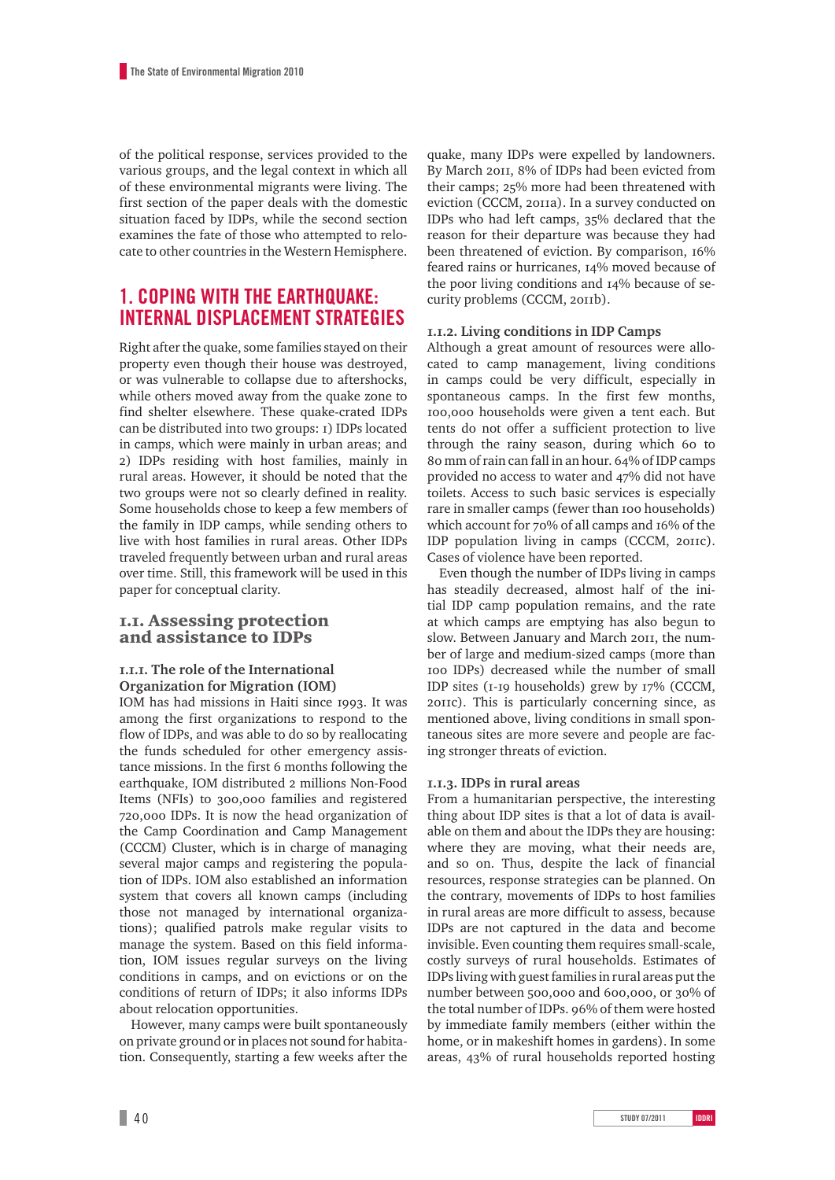of the political response, services provided to the various groups, and the legal context in which all of these environmental migrants were living. The first section of the paper deals with the domestic situation faced by IDPs, while the second section examines the fate of those who attempted to relocate to other countries in the Western Hemisphere.

# **1. Coping with the earthquake: internal displacement strategies**

Right after the quake, some families stayed on their property even though their house was destroyed, or was vulnerable to collapse due to aftershocks, while others moved away from the quake zone to find shelter elsewhere. These quake-crated IDPs can be distributed into two groups: 1) IDPs located in camps, which were mainly in urban areas; and 2) IDPs residing with host families, mainly in rural areas. However, it should be noted that the two groups were not so clearly defined in reality. Some households chose to keep a few members of the family in IDP camps, while sending others to live with host families in rural areas. Other IDPs traveled frequently between urban and rural areas over time. Still, this framework will be used in this paper for conceptual clarity.

#### 1.1. Assessing protection and assistance to IDPs

#### **1.1.1. The role of the International Organization for Migration (IOM)**

IOM has had missions in Haiti since 1993. It was among the first organizations to respond to the flow of IDPs, and was able to do so by reallocating the funds scheduled for other emergency assistance missions. In the first 6 months following the earthquake, IOM distributed 2 millions Non-Food Items (NFIs) to 300,000 families and registered 720,000 IDPs. It is now the head organization of the Camp Coordination and Camp Management (CCCM) Cluster, which is in charge of managing several major camps and registering the population of IDPs. IOM also established an information system that covers all known camps (including those not managed by international organizations); qualified patrols make regular visits to manage the system. Based on this field information, IOM issues regular surveys on the living conditions in camps, and on evictions or on the conditions of return of IDPs; it also informs IDPs about relocation opportunities.

However, many camps were built spontaneously on private ground or in places not sound for habitation. Consequently, starting a few weeks after the

quake, many IDPs were expelled by landowners. By March 2011, 8% of IDPs had been evicted from their camps; 25% more had been threatened with eviction (CCCM, 2011a). In a survey conducted on IDPs who had left camps, 35% declared that the reason for their departure was because they had been threatened of eviction. By comparison, 16% feared rains or hurricanes, 14% moved because of the poor living conditions and 14% because of security problems (CCCM, 2011b).

#### **1.1.2. Living conditions in IDP Camps**

Although a great amount of resources were allocated to camp management, living conditions in camps could be very difficult, especially in spontaneous camps. In the first few months, 100,000 households were given a tent each. But tents do not offer a sufficient protection to live through the rainy season, during which 60 to 80 mm of rain can fall in an hour. 64% of IDP camps provided no access to water and 47% did not have toilets. Access to such basic services is especially rare in smaller camps (fewer than 100 households) which account for 70% of all camps and 16% of the IDP population living in camps (CCCM, 2011c). Cases of violence have been reported.

Even though the number of IDPs living in camps has steadily decreased, almost half of the initial IDP camp population remains, and the rate at which camps are emptying has also begun to slow. Between January and March 2011, the number of large and medium-sized camps (more than 100 IDPs) decreased while the number of small IDP sites (1-19 households) grew by 17% (CCCM, 2011c). This is particularly concerning since, as mentioned above, living conditions in small spontaneous sites are more severe and people are facing stronger threats of eviction.

#### **1.1.3. IDPs in rural areas**

From a humanitarian perspective, the interesting thing about IDP sites is that a lot of data is available on them and about the IDPs they are housing: where they are moving, what their needs are, and so on. Thus, despite the lack of financial resources, response strategies can be planned. On the contrary, movements of IDPs to host families in rural areas are more difficult to assess, because IDPs are not captured in the data and become invisible. Even counting them requires small-scale, costly surveys of rural households. Estimates of IDPs living with guest families in rural areas put the number between 500,000 and 600,000, or 30% of the total number of IDPs. 96% of them were hosted by immediate family members (either within the home, or in makeshift homes in gardens). In some areas, 43% of rural households reported hosting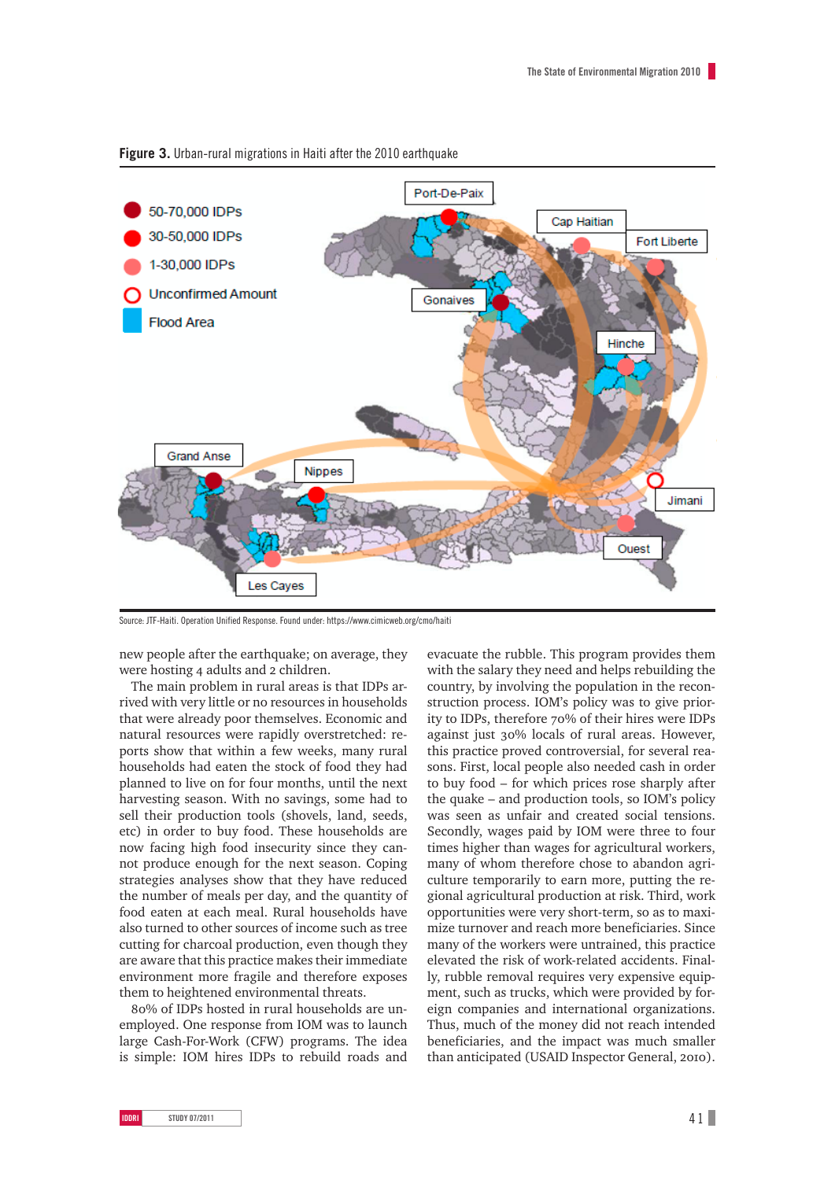

**Figure 3.** Urban-rural migrations in Haiti after the 2010 earthquake

Source: JTF-Haiti. Operation Unified Response. Found under: https://www.cimicweb.org/cmo/haiti

new people after the earthquake; on average, they were hosting 4 adults and 2 children.

The main problem in rural areas is that IDPs arrived with very little or no resources in households that were already poor themselves. Economic and natural resources were rapidly overstretched: reports show that within a few weeks, many rural households had eaten the stock of food they had planned to live on for four months, until the next harvesting season. With no savings, some had to sell their production tools (shovels, land, seeds, etc) in order to buy food. These households are now facing high food insecurity since they cannot produce enough for the next season. Coping strategies analyses show that they have reduced the number of meals per day, and the quantity of food eaten at each meal. Rural households have also turned to other sources of income such as tree cutting for charcoal production, even though they are aware that this practice makes their immediate environment more fragile and therefore exposes them to heightened environmental threats.

80% of IDPs hosted in rural households are unemployed. One response from IOM was to launch large Cash-For-Work (CFW) programs. The idea is simple: IOM hires IDPs to rebuild roads and

evacuate the rubble. This program provides them with the salary they need and helps rebuilding the country, by involving the population in the reconstruction process. IOM's policy was to give priority to IDPs, therefore 70% of their hires were IDPs against just 30% locals of rural areas. However, this practice proved controversial, for several reasons. First, local people also needed cash in order to buy food – for which prices rose sharply after the quake – and production tools, so IOM's policy was seen as unfair and created social tensions. Secondly, wages paid by IOM were three to four times higher than wages for agricultural workers, many of whom therefore chose to abandon agriculture temporarily to earn more, putting the regional agricultural production at risk. Third, work opportunities were very short-term, so as to maximize turnover and reach more beneficiaries. Since many of the workers were untrained, this practice elevated the risk of work-related accidents. Finally, rubble removal requires very expensive equipment, such as trucks, which were provided by foreign companies and international organizations. Thus, much of the money did not reach intended beneficiaries, and the impact was much smaller than anticipated (USAID Inspector General, 2010).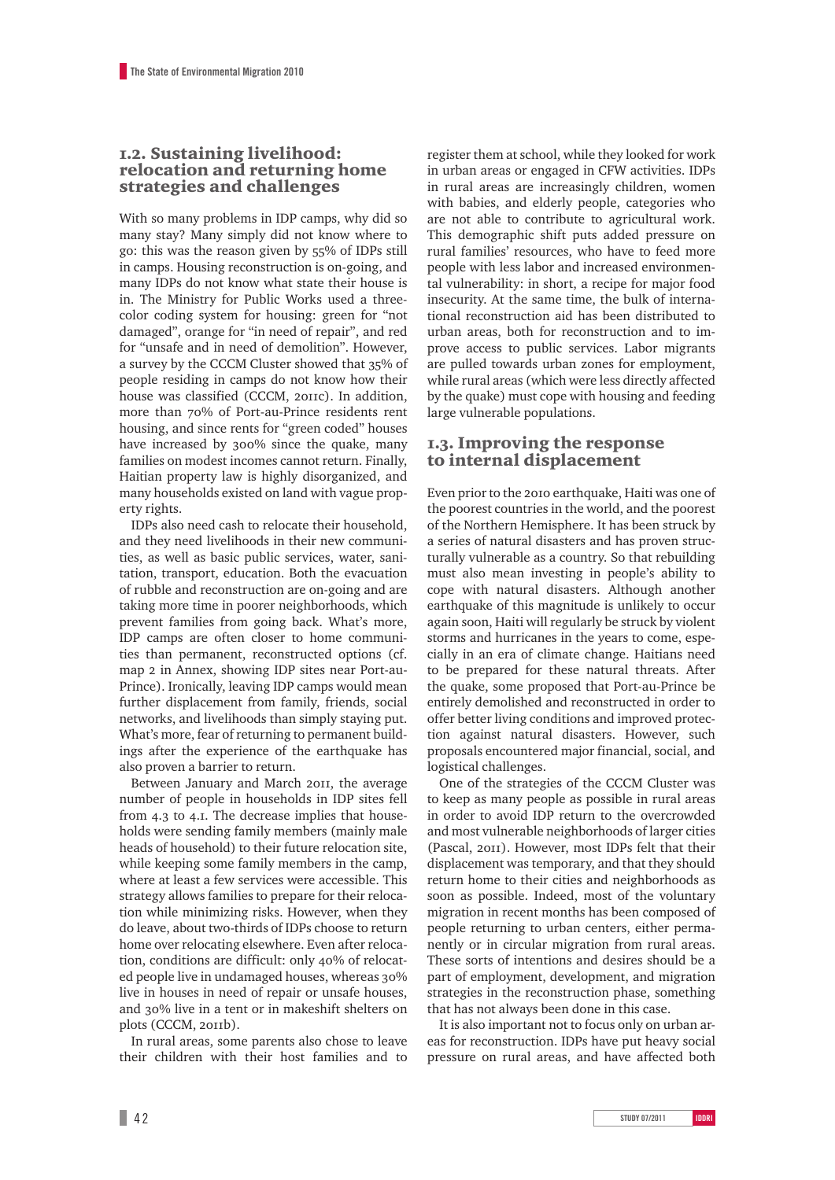### 1.2. Sustaining livelihood: relocation and returning home strategies and challenges

With so many problems in IDP camps, why did so many stay? Many simply did not know where to go: this was the reason given by 55% of IDPs still in camps. Housing reconstruction is on-going, and many IDPs do not know what state their house is in. The Ministry for Public Works used a threecolor coding system for housing: green for "not damaged", orange for "in need of repair", and red for "unsafe and in need of demolition". However, a survey by the CCCM Cluster showed that 35% of people residing in camps do not know how their house was classified (CCCM, 2011c). In addition, more than 70% of Port-au-Prince residents rent housing, and since rents for "green coded" houses have increased by 300% since the quake, many families on modest incomes cannot return. Finally, Haitian property law is highly disorganized, and many households existed on land with vague property rights.

IDPs also need cash to relocate their household, and they need livelihoods in their new communities, as well as basic public services, water, sanitation, transport, education. Both the evacuation of rubble and reconstruction are on-going and are taking more time in poorer neighborhoods, which prevent families from going back. What's more, IDP camps are often closer to home communities than permanent, reconstructed options (cf. map 2 in Annex, showing IDP sites near Port-au-Prince). Ironically, leaving IDP camps would mean further displacement from family, friends, social networks, and livelihoods than simply staying put. What's more, fear of returning to permanent buildings after the experience of the earthquake has also proven a barrier to return.

Between January and March 2011, the average number of people in households in IDP sites fell from 4.3 to 4.1. The decrease implies that households were sending family members (mainly male heads of household) to their future relocation site, while keeping some family members in the camp, where at least a few services were accessible. This strategy allows families to prepare for their relocation while minimizing risks. However, when they do leave, about two-thirds of IDPs choose to return home over relocating elsewhere. Even after relocation, conditions are difficult: only 40% of relocated people live in undamaged houses, whereas 30% live in houses in need of repair or unsafe houses, and 30% live in a tent or in makeshift shelters on plots (CCCM, 2011b).

In rural areas, some parents also chose to leave their children with their host families and to

register them at school, while they looked for work in urban areas or engaged in CFW activities. IDPs in rural areas are increasingly children, women with babies, and elderly people, categories who are not able to contribute to agricultural work. This demographic shift puts added pressure on rural families' resources, who have to feed more people with less labor and increased environmental vulnerability: in short, a recipe for major food insecurity. At the same time, the bulk of international reconstruction aid has been distributed to urban areas, both for reconstruction and to improve access to public services. Labor migrants are pulled towards urban zones for employment, while rural areas (which were less directly affected by the quake) must cope with housing and feeding large vulnerable populations.

## 1.3. Improving the response to internal displacement

Even prior to the 2010 earthquake, Haiti was one of the poorest countries in the world, and the poorest of the Northern Hemisphere. It has been struck by a series of natural disasters and has proven structurally vulnerable as a country. So that rebuilding must also mean investing in people's ability to cope with natural disasters. Although another earthquake of this magnitude is unlikely to occur again soon, Haiti will regularly be struck by violent storms and hurricanes in the years to come, especially in an era of climate change. Haitians need to be prepared for these natural threats. After the quake, some proposed that Port-au-Prince be entirely demolished and reconstructed in order to offer better living conditions and improved protection against natural disasters. However, such proposals encountered major financial, social, and logistical challenges.

One of the strategies of the CCCM Cluster was to keep as many people as possible in rural areas in order to avoid IDP return to the overcrowded and most vulnerable neighborhoods of larger cities (Pascal, 2011). However, most IDPs felt that their displacement was temporary, and that they should return home to their cities and neighborhoods as soon as possible. Indeed, most of the voluntary migration in recent months has been composed of people returning to urban centers, either permanently or in circular migration from rural areas. These sorts of intentions and desires should be a part of employment, development, and migration strategies in the reconstruction phase, something that has not always been done in this case.

It is also important not to focus only on urban areas for reconstruction. IDPs have put heavy social pressure on rural areas, and have affected both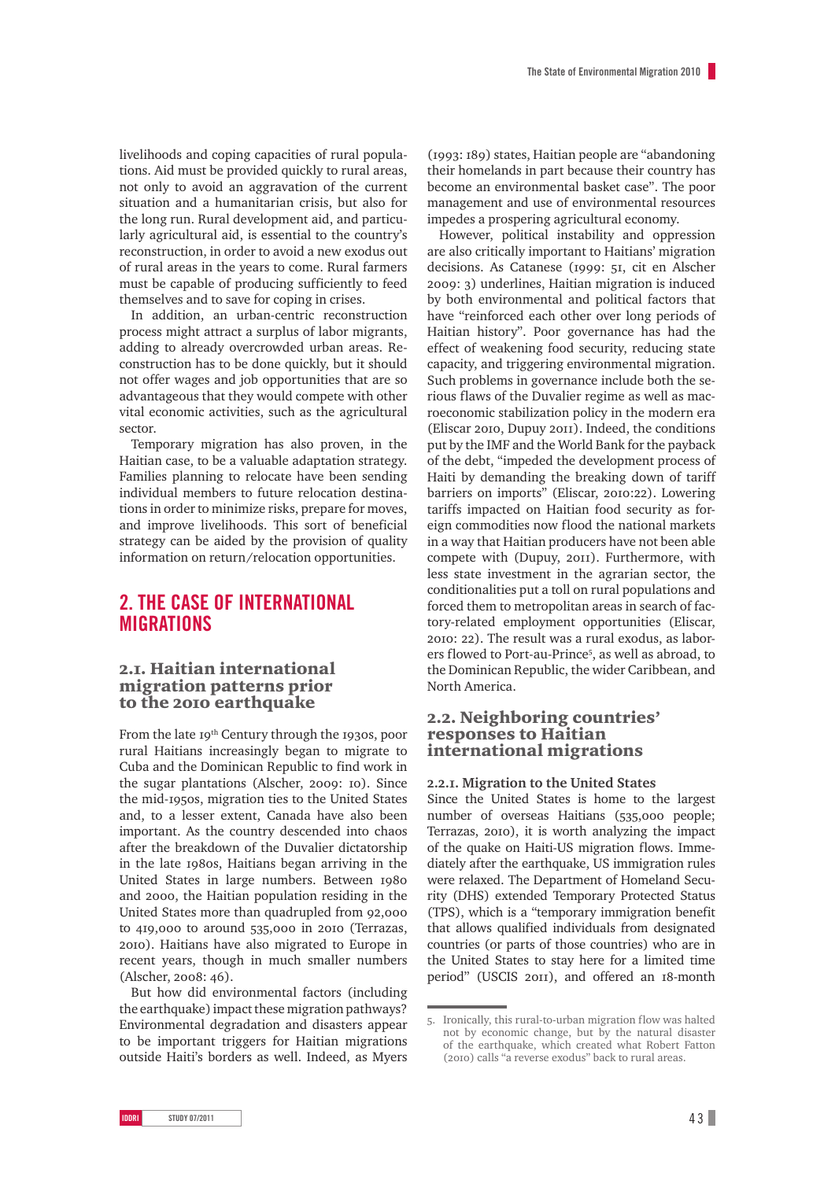livelihoods and coping capacities of rural populations. Aid must be provided quickly to rural areas, not only to avoid an aggravation of the current situation and a humanitarian crisis, but also for the long run. Rural development aid, and particularly agricultural aid, is essential to the country's reconstruction, in order to avoid a new exodus out of rural areas in the years to come. Rural farmers must be capable of producing sufficiently to feed themselves and to save for coping in crises.

In addition, an urban-centric reconstruction process might attract a surplus of labor migrants, adding to already overcrowded urban areas. Reconstruction has to be done quickly, but it should not offer wages and job opportunities that are so advantageous that they would compete with other vital economic activities, such as the agricultural sector.

Temporary migration has also proven, in the Haitian case, to be a valuable adaptation strategy. Families planning to relocate have been sending individual members to future relocation destinations in order to minimize risks, prepare for moves, and improve livelihoods. This sort of beneficial strategy can be aided by the provision of quality information on return/relocation opportunities.

# **2. The case of international migrations**

### 2.1. Haitian international migration patterns prior to the 2010 earthquake

From the late 19<sup>th</sup> Century through the 1930s, poor rural Haitians increasingly began to migrate to Cuba and the Dominican Republic to find work in the sugar plantations (Alscher, 2009: 10). Since the mid-1950s, migration ties to the United States and, to a lesser extent, Canada have also been important. As the country descended into chaos after the breakdown of the Duvalier dictatorship in the late 1980s, Haitians began arriving in the United States in large numbers. Between 1980 and 2000, the Haitian population residing in the United States more than quadrupled from 92,000 to 419,000 to around 535,000 in 2010 (Terrazas, 2010). Haitians have also migrated to Europe in recent years, though in much smaller numbers (Alscher, 2008: 46).

But how did environmental factors (including the earthquake) impact these migration pathways? Environmental degradation and disasters appear to be important triggers for Haitian migrations outside Haiti's borders as well. Indeed, as Myers

(1993: 189) states, Haitian people are "abandoning their homelands in part because their country has become an environmental basket case". The poor management and use of environmental resources impedes a prospering agricultural economy.

However, political instability and oppression are also critically important to Haitians' migration decisions. As Catanese (1999: 51, cit en Alscher 2009: 3) underlines, Haitian migration is induced by both environmental and political factors that have "reinforced each other over long periods of Haitian history". Poor governance has had the effect of weakening food security, reducing state capacity, and triggering environmental migration. Such problems in governance include both the serious flaws of the Duvalier regime as well as macroeconomic stabilization policy in the modern era (Eliscar 2010, Dupuy 2011). Indeed, the conditions put by the IMF and the World Bank for the payback of the debt, "impeded the development process of Haiti by demanding the breaking down of tariff barriers on imports" (Eliscar, 2010:22). Lowering tariffs impacted on Haitian food security as foreign commodities now flood the national markets in a way that Haitian producers have not been able compete with (Dupuy, 2011). Furthermore, with less state investment in the agrarian sector, the conditionalities put a toll on rural populations and forced them to metropolitan areas in search of factory-related employment opportunities (Eliscar, 2010: 22). The result was a rural exodus, as laborers flowed to Port-au-Prince<sup>5</sup>, as well as abroad, to the Dominican Republic, the wider Caribbean, and North America.

## 2.2. Neighboring countries' responses to Haitian international migrations

#### **2.2.1. Migration to the United States**

Since the United States is home to the largest number of overseas Haitians (535,000 people; Terrazas, 2010), it is worth analyzing the impact of the quake on Haiti-US migration flows. Immediately after the earthquake, US immigration rules were relaxed. The Department of Homeland Security (DHS) extended Temporary Protected Status (TPS), which is a "temporary immigration benefit that allows qualified individuals from designated countries (or parts of those countries) who are in the United States to stay here for a limited time period" (USCIS 2011), and offered an 18-month

<sup>5.</sup> Ironically, this rural-to-urban migration flow was halted not by economic change, but by the natural disaster of the earthquake, which created what Robert Fatton (2010) calls "a reverse exodus" back to rural areas.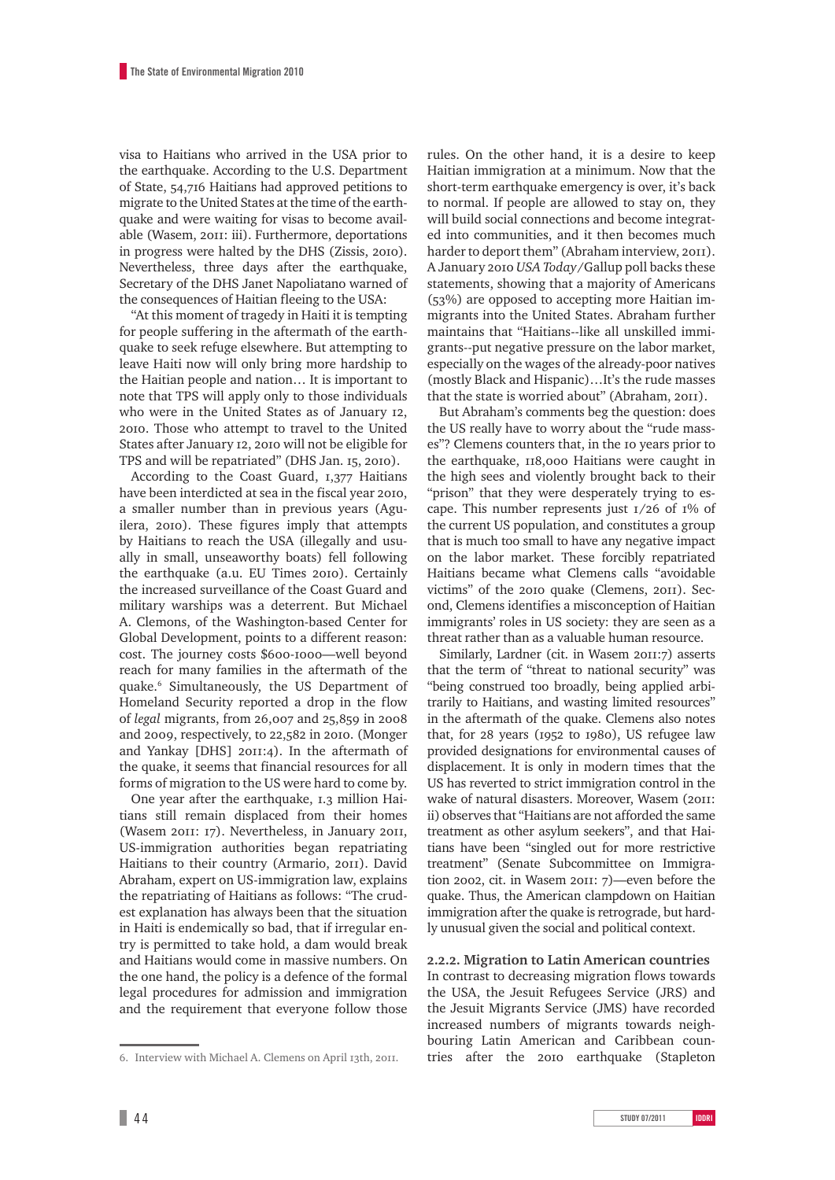visa to Haitians who arrived in the USA prior to the earthquake. According to the U.S. Department of State, 54,716 Haitians had approved petitions to migrate to the United States at the time of the earthquake and were waiting for visas to become available (Wasem, 2011: iii). Furthermore, deportations in progress were halted by the DHS (Zissis, 2010). Nevertheless, three days after the earthquake, Secretary of the DHS Janet Napoliatano warned of the consequences of Haitian fleeing to the USA:

"At this moment of tragedy in Haiti it is tempting for people suffering in the aftermath of the earthquake to seek refuge elsewhere. But attempting to leave Haiti now will only bring more hardship to the Haitian people and nation… It is important to note that TPS will apply only to those individuals who were in the United States as of January 12, 2010. Those who attempt to travel to the United States after January 12, 2010 will not be eligible for TPS and will be repatriated" (DHS Jan. 15, 2010).

According to the Coast Guard, 1,377 Haitians have been interdicted at sea in the fiscal year 2010, a smaller number than in previous years (Aguilera, 2010). These figures imply that attempts by Haitians to reach the USA (illegally and usually in small, unseaworthy boats) fell following the earthquake (a.u. EU Times 2010). Certainly the increased surveillance of the Coast Guard and military warships was a deterrent. But Michael A. Clemons, of the Washington-based Center for Global Development, points to a different reason: cost. The journey costs \$600-1000—well beyond reach for many families in the aftermath of the quake.6 Simultaneously, the US Department of Homeland Security reported a drop in the flow of *legal* migrants, from 26,007 and 25,859 in 2008 and 2009, respectively, to 22,582 in 2010. (Monger and Yankay [DHS] 2011:4). In the aftermath of the quake, it seems that financial resources for all forms of migration to the US were hard to come by.

One year after the earthquake, 1.3 million Haitians still remain displaced from their homes (Wasem 2011: 17). Nevertheless, in January 2011, US-immigration authorities began repatriating Haitians to their country (Armario, 2011). David Abraham, expert on US-immigration law, explains the repatriating of Haitians as follows: "The crudest explanation has always been that the situation in Haiti is endemically so bad, that if irregular entry is permitted to take hold, a dam would break and Haitians would come in massive numbers. On the one hand, the policy is a defence of the formal legal procedures for admission and immigration and the requirement that everyone follow those

6. Interview with Michael A. Clemens on April 13th, 2011.

rules. On the other hand, it is a desire to keep Haitian immigration at a minimum. Now that the short-term earthquake emergency is over, it's back to normal. If people are allowed to stay on, they will build social connections and become integrated into communities, and it then becomes much harder to deport them" (Abraham interview, 2011). A January 2010 *USA Today*/Gallup poll backs these statements, showing that a majority of Americans (53%) are opposed to accepting more Haitian immigrants into the United States. Abraham further maintains that "Haitians--like all unskilled immigrants--put negative pressure on the labor market, especially on the wages of the already-poor natives (mostly Black and Hispanic)…It's the rude masses that the state is worried about" (Abraham, 2011).

But Abraham's comments beg the question: does the US really have to worry about the "rude masses"? Clemens counters that, in the 10 years prior to the earthquake, 118,000 Haitians were caught in the high sees and violently brought back to their "prison" that they were desperately trying to escape. This number represents just 1/26 of 1% of the current US population, and constitutes a group that is much too small to have any negative impact on the labor market. These forcibly repatriated Haitians became what Clemens calls "avoidable victims" of the 2010 quake (Clemens, 2011). Second, Clemens identifies a misconception of Haitian immigrants' roles in US society: they are seen as a threat rather than as a valuable human resource.

Similarly, Lardner (cit. in Wasem 2011:7) asserts that the term of "threat to national security" was "being construed too broadly, being applied arbitrarily to Haitians, and wasting limited resources" in the aftermath of the quake. Clemens also notes that, for 28 years (1952 to 1980), US refugee law provided designations for environmental causes of displacement. It is only in modern times that the US has reverted to strict immigration control in the wake of natural disasters. Moreover, Wasem (2011: ii) observes that "Haitians are not afforded the same treatment as other asylum seekers", and that Haitians have been "singled out for more restrictive treatment" (Senate Subcommittee on Immigration 2002, cit. in Wasem 2011: 7)—even before the quake. Thus, the American clampdown on Haitian immigration after the quake is retrograde, but hardly unusual given the social and political context.

**2.2.2. Migration to Latin American countries** In contrast to decreasing migration flows towards the USA, the Jesuit Refugees Service (JRS) and the Jesuit Migrants Service (JMS) have recorded increased numbers of migrants towards neighbouring Latin American and Caribbean countries after the 2010 earthquake (Stapleton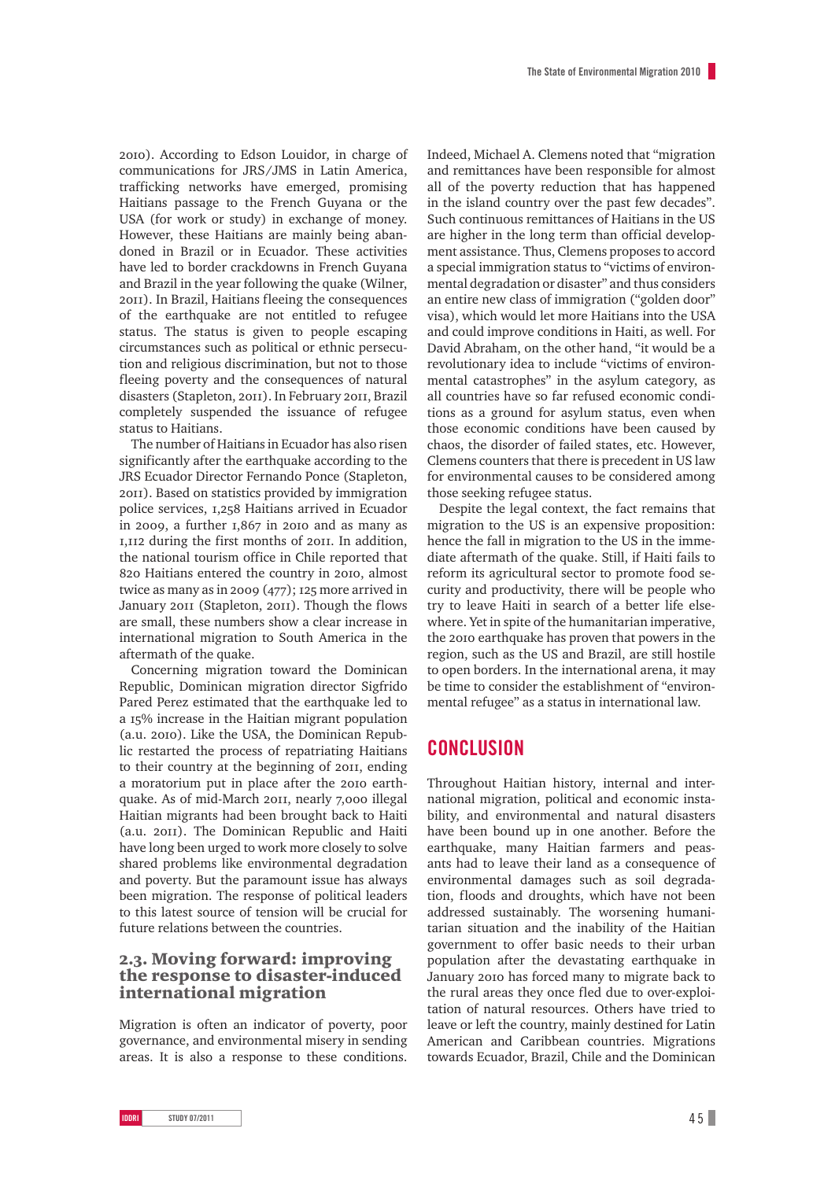2010). According to Edson Louidor, in charge of communications for JRS/JMS in Latin America, trafficking networks have emerged, promising Haitians passage to the French Guyana or the USA (for work or study) in exchange of money. However, these Haitians are mainly being abandoned in Brazil or in Ecuador. These activities have led to border crackdowns in French Guyana and Brazil in the year following the quake (Wilner, 2011). In Brazil, Haitians fleeing the consequences of the earthquake are not entitled to refugee status. The status is given to people escaping circumstances such as political or ethnic persecution and religious discrimination, but not to those fleeing poverty and the consequences of natural disasters (Stapleton, 2011). In February 2011, Brazil completely suspended the issuance of refugee status to Haitians.

The number of Haitians in Ecuador has also risen significantly after the earthquake according to the JRS Ecuador Director Fernando Ponce (Stapleton, 2011). Based on statistics provided by immigration police services, 1,258 Haitians arrived in Ecuador in 2009, a further 1,867 in 2010 and as many as 1,112 during the first months of 2011. In addition, the national tourism office in Chile reported that 820 Haitians entered the country in 2010, almost twice as many as in 2009 (477); 125 more arrived in January 2011 (Stapleton, 2011). Though the flows are small, these numbers show a clear increase in international migration to South America in the aftermath of the quake.

Concerning migration toward the Dominican Republic, Dominican migration director Sigfrido Pared Perez estimated that the earthquake led to a 15% increase in the Haitian migrant population (a.u. 2010). Like the USA, the Dominican Republic restarted the process of repatriating Haitians to their country at the beginning of 2011, ending a moratorium put in place after the 2010 earthquake. As of mid-March 2011, nearly 7,000 illegal Haitian migrants had been brought back to Haiti (a.u. 2011). The Dominican Republic and Haiti have long been urged to work more closely to solve shared problems like environmental degradation and poverty. But the paramount issue has always been migration. The response of political leaders to this latest source of tension will be crucial for future relations between the countries.

## 2.3. Moving forward: improving the response to disaster-induced international migration

Migration is often an indicator of poverty, poor governance, and environmental misery in sending areas. It is also a response to these conditions. Indeed, Michael A. Clemens noted that "migration and remittances have been responsible for almost all of the poverty reduction that has happened in the island country over the past few decades". Such continuous remittances of Haitians in the US are higher in the long term than official development assistance. Thus, Clemens proposes to accord a special immigration status to "victims of environmental degradation or disaster" and thus considers an entire new class of immigration ("golden door" visa), which would let more Haitians into the USA and could improve conditions in Haiti, as well. For David Abraham, on the other hand, "it would be a revolutionary idea to include "victims of environmental catastrophes" in the asylum category, as all countries have so far refused economic conditions as a ground for asylum status, even when those economic conditions have been caused by chaos, the disorder of failed states, etc. However, Clemens counters that there is precedent in US law for environmental causes to be considered among those seeking refugee status.

Despite the legal context, the fact remains that migration to the US is an expensive proposition: hence the fall in migration to the US in the immediate aftermath of the quake. Still, if Haiti fails to reform its agricultural sector to promote food security and productivity, there will be people who try to leave Haiti in search of a better life elsewhere. Yet in spite of the humanitarian imperative, the 2010 earthquake has proven that powers in the region, such as the US and Brazil, are still hostile to open borders. In the international arena, it may be time to consider the establishment of "environmental refugee" as a status in international law.

## **Conclusion**

Throughout Haitian history, internal and international migration, political and economic instability, and environmental and natural disasters have been bound up in one another. Before the earthquake, many Haitian farmers and peasants had to leave their land as a consequence of environmental damages such as soil degradation, floods and droughts, which have not been addressed sustainably. The worsening humanitarian situation and the inability of the Haitian government to offer basic needs to their urban population after the devastating earthquake in January 2010 has forced many to migrate back to the rural areas they once fled due to over-exploitation of natural resources. Others have tried to leave or left the country, mainly destined for Latin American and Caribbean countries. Migrations towards Ecuador, Brazil, Chile and the Dominican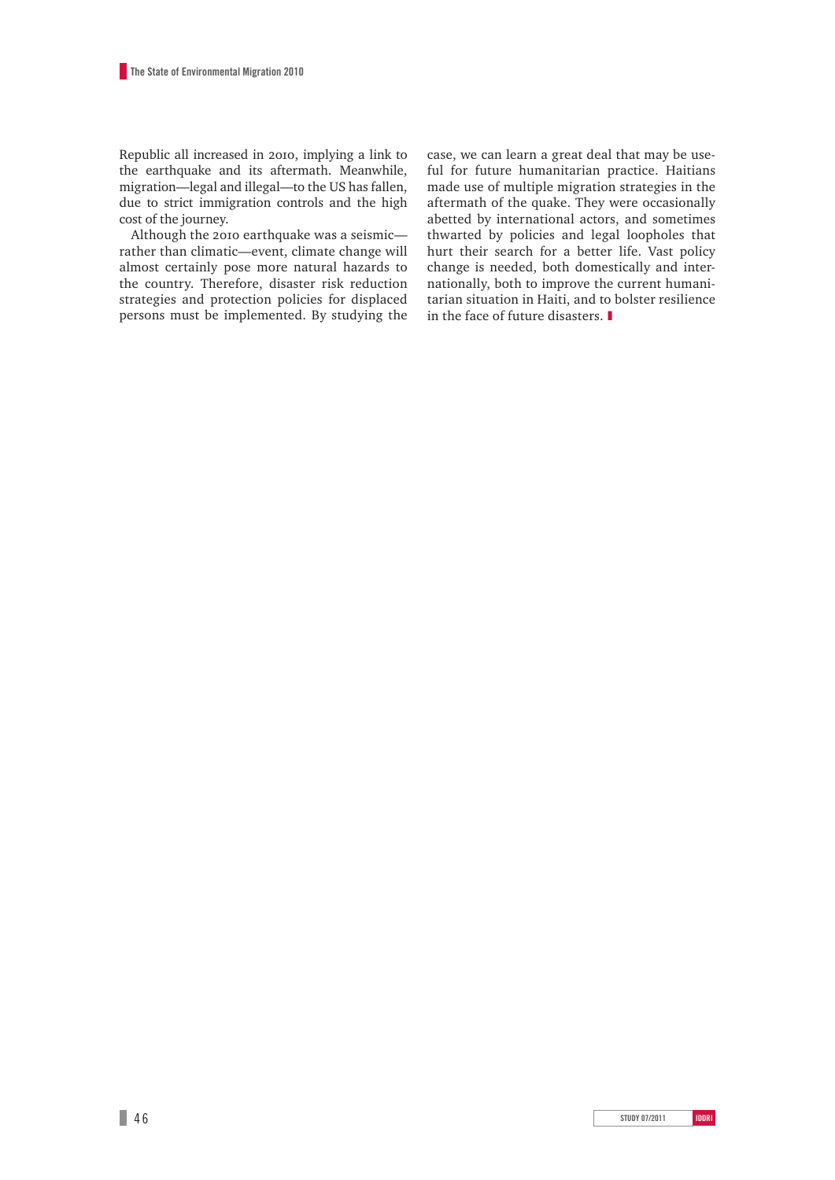Republic all increased in 2010, implying a link to the earthquake and its aftermath. Meanwhile, migration—legal and illegal—to the US has fallen, due to strict immigration controls and the high cost of the journey.

Although the 2010 earthquake was a seismic rather than climatic—event, climate change will almost certainly pose more natural hazards to the country. Therefore, disaster risk reduction strategies and protection policies for displaced persons must be implemented. By studying the case, we can learn a great deal that may be useful for future humanitarian practice. Haitians made use of multiple migration strategies in the aftermath of the quake. They were occasionally abetted by international actors, and sometimes thwarted by policies and legal loopholes that hurt their search for a better life. Vast policy change is needed, both domestically and internationally, both to improve the current humanitarian situation in Haiti, and to bolster resilience in the face of future disasters. ❚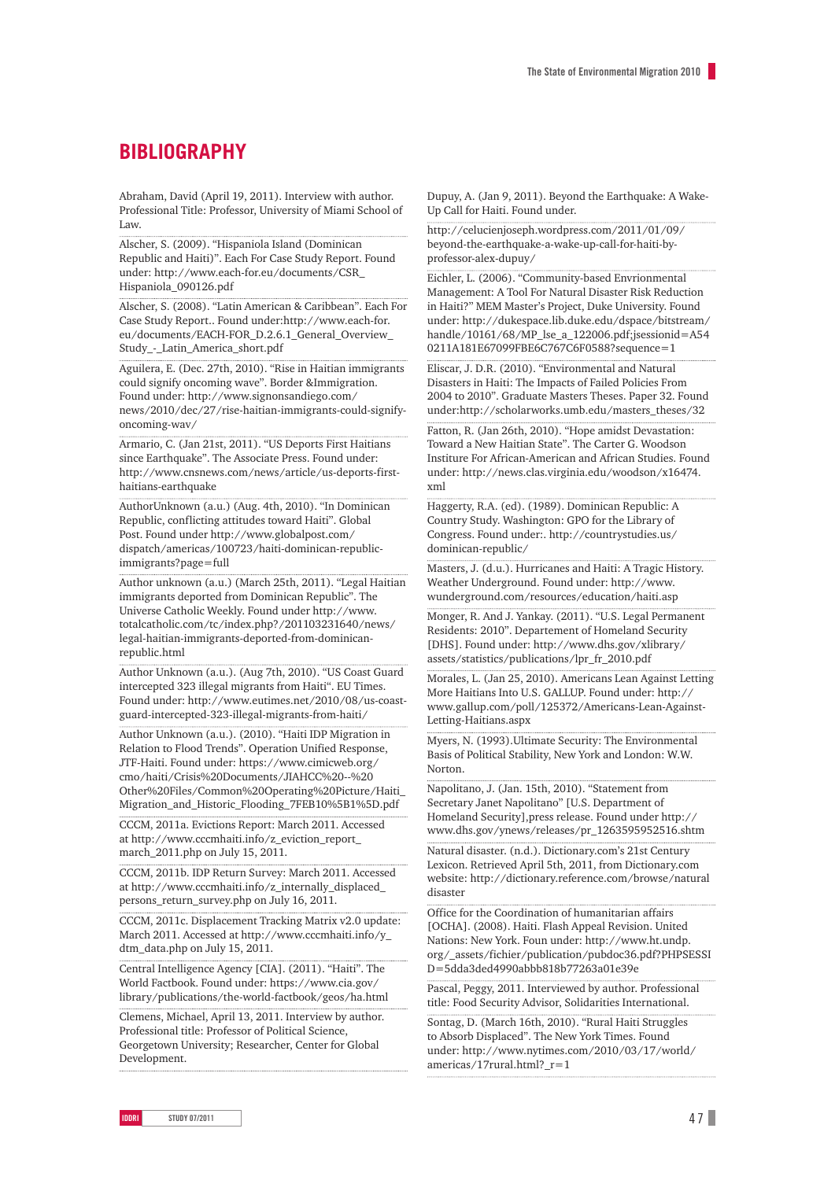# **BIBLIOGRAPHY**

Abraham, David (April 19, 2011). Interview with author. Professional Title: Professor, University of Miami School of Law.

Alscher, S. (2009). "Hispaniola Island (Dominican Republic and Haiti)". Each For Case Study Report. Found under: http://www.each-for.eu/documents/CSR\_ Hispaniola\_090126.pdf

Alscher, S. (2008). "Latin American & Caribbean". Each For Case Study Report.. Found under:http://www.each-for. eu/documents/EACH-FOR\_D.2.6.1\_General\_Overview\_ Study\_-\_Latin\_America\_short.pdf

Aguilera, E. (Dec. 27th, 2010). "Rise in Haitian immigrants could signify oncoming wave". Border &Immigration. Found under: http://www.signonsandiego.com/ news/2010/dec/27/rise-haitian-immigrants-could-signifyoncoming-wav/

Armario, C. (Jan 21st, 2011). "US Deports First Haitians since Earthquake". The Associate Press. Found under: http://www.cnsnews.com/news/article/us-deports-firsthaitians-earthquake

AuthorUnknown (a.u.) (Aug. 4th, 2010). "In Dominican Republic, conflicting attitudes toward Haiti". Global Post. Found under http://www.globalpost.com/ dispatch/americas/100723/haiti-dominican-republicimmigrants?page=full

Author unknown (a.u.) (March 25th, 2011). "Legal Haitian immigrants deported from Dominican Republic". The Universe Catholic Weekly. Found under http://www. totalcatholic.com/tc/index.php?/201103231640/news/ legal-haitian-immigrants-deported-from-dominicanrepublic.html

Author Unknown (a.u.). (Aug 7th, 2010). "US Coast Guard intercepted 323 illegal migrants from Haiti". EU Times. Found under: http://www.eutimes.net/2010/08/us-coastguard-intercepted-323-illegal-migrants-from-haiti/

Author Unknown (a.u.). (2010). "Haiti IDP Migration in Relation to Flood Trends". Operation Unified Response, JTF-Haiti. Found under: https://www.cimicweb.org/ cmo/haiti/Crisis%20Documents/JIAHCC%20--%20 Other%20Files/Common%20Operating%20Picture/Haiti\_ Migration\_and\_Historic\_Flooding\_7FEB10%5B1%5D.pdf

CCCM, 2011a. Evictions Report: March 2011. Accessed at http://www.cccmhaiti.info/z\_eviction\_report\_ march\_2011.php on July 15, 2011.

CCCM, 2011b. IDP Return Survey: March 2011. Accessed at http://www.cccmhaiti.info/z\_internally\_displaced\_ persons return survey.php on July 16, 2011.

CCCM, 2011c. Displacement Tracking Matrix v2.0 update: March 2011. Accessed at http://www.cccmhaiti.info/y\_ dtm\_data.php on July 15, 2011.

Central Intelligence Agency [CIA]. (2011). "Haiti". The World Factbook. Found under: https://www.cia.gov/ library/publications/the-world-factbook/geos/ha.html

Clemens, Michael, April 13, 2011. Interview by author. Professional title: Professor of Political Science, Georgetown University; Researcher, Center for Global Development.

Dupuy, A. (Jan 9, 2011). Beyond the Earthquake: A Wake-Up Call for Haiti. Found under.

http://celucienjoseph.wordpress.com/2011/01/09/ beyond-the-earthquake-a-wake-up-call-for-haiti-byprofessor-alex-dupuy/

Eichler, L. (2006). "Community-based Envrionmental Management: A Tool For Natural Disaster Risk Reduction in Haiti?" MEM Master's Project, Duke University. Found under: http://dukespace.lib.duke.edu/dspace/bitstream/ handle/10161/68/MP\_lse\_a\_122006.pdf;jsessionid=A54 0211A181E67099FBE6C767C6F0588?sequence=1

Eliscar, J. D.R. (2010). "Environmental and Natural Disasters in Haiti: The Impacts of Failed Policies From 2004 to 2010". Graduate Masters Theses. Paper 32. Found under:http://scholarworks.umb.edu/masters\_theses/32

Fatton, R. (Jan 26th, 2010). "Hope amidst Devastation: Toward a New Haitian State". The Carter G. Woodson Institure For African-American and African Studies. Found under: http://news.clas.virginia.edu/woodson/x16474. xml

Haggerty, R.A. (ed). (1989). Dominican Republic: A Country Study. Washington: GPO for the Library of Congress. Found under:. http://countrystudies.us/ dominican-republic/

Masters, J. (d.u.). Hurricanes and Haiti: A Tragic History. Weather Underground. Found under: http://www. wunderground.com/resources/education/haiti.asp

Monger, R. And J. Yankay. (2011). "U.S. Legal Permanent Residents: 2010". Departement of Homeland Security [DHS]. Found under: http://www.dhs.gov/xlibrary/ assets/statistics/publications/lpr\_fr\_2010.pdf

Morales, L. (Jan 25, 2010). Americans Lean Against Letting More Haitians Into U.S. GALLUP. Found under: http:// www.gallup.com/poll/125372/Americans-Lean-Against-Letting-Haitians.aspx

Myers, N. (1993).Ultimate Security: The Environmental Basis of Political Stability, New York and London: W.W. Norton.

Napolitano, J. (Jan. 15th, 2010). "Statement from Secretary Janet Napolitano" [U.S. Department of Homeland Security],press release. Found under http:// www.dhs.gov/ynews/releases/pr\_1263595952516.shtm

Natural disaster. (n.d.). Dictionary.com's 21st Century Lexicon. Retrieved April 5th, 2011, from Dictionary.com website: http://dictionary.reference.com/browse/natural disaster

Office for the Coordination of humanitarian affairs [OCHA]. (2008). Haiti. Flash Appeal Revision. United Nations: New York. Foun under: http://www.ht.undp. org/\_assets/fichier/publication/pubdoc36.pdf?PHPSESSI D=5dda3ded4990abbb818b77263a01e39e

Pascal, Peggy, 2011. Interviewed by author. Professional title: Food Security Advisor, Solidarities International.

Sontag, D. (March 16th, 2010). "Rural Haiti Struggles to Absorb Displaced". The New York Times. Found under: http://www.nytimes.com/2010/03/17/world/ americas/17rural.html?\_r=1